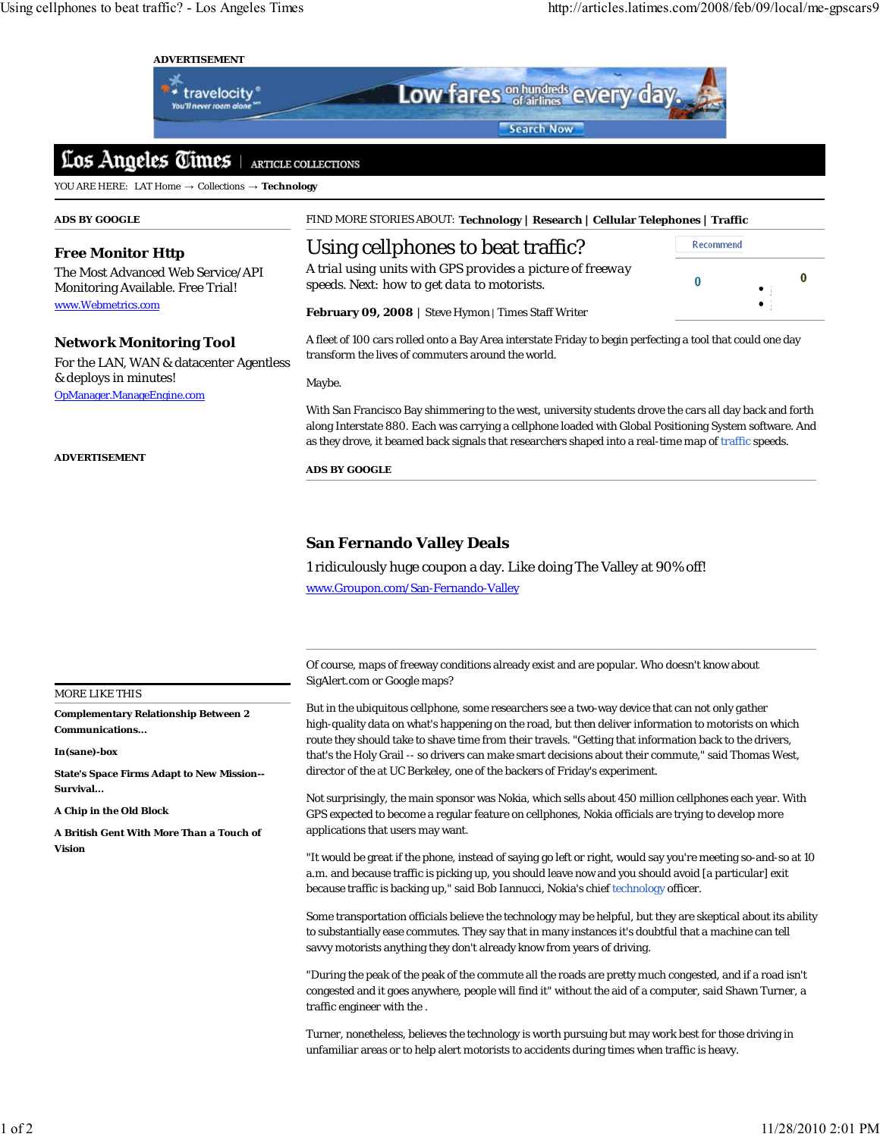Recommend

 $\mathbf{0}$ 

 $\Omega$ 

### **ADVERTISEMENT**



Low fares <sup>on hundreds</sup> every day Search Now

#### Los Angeles Times ARTICLE COLLECTIONS

YOU ARE HERE: LAT Home → Collections → **Technology**

### **ADS BY GOOGLE**

# **Free Monitor Http**

The Most Advanced Web Service/API Monitoring Available. Free Trial! www.Webmetrics.com

# **Network Monitoring Tool**

For the LAN, WAN & datacenter Agentless & deploys in minutes! OpManager.ManageEngine.com

**ADVERTISEMENT**

FIND MORE STORIES ABOUT: **Technology | Research | Cellular Telephones | Traffic**

# Using cellphones to beat traffic?

*A trial using units with GPS provides a picture of freeway speeds. Next: how to get data to motorists.*



A fleet of 100 cars rolled onto a Bay Area interstate Friday to begin perfecting a tool that could one day transform the lives of commuters around the world.

Maybe.

With San Francisco Bay shimmering to the west, university students drove the cars all day back and forth along Interstate 880. Each was carrying a cellphone loaded with Global Positioning System software. And as they drove, it beamed back signals that researchers shaped into a real-time map of traffic speeds.

**ADS BY GOOGLE**

# **San Fernando Valley Deals**

1 ridiculously huge coupon a day. Like doing The Valley at 90% off! www.Groupon.com/San-Fernando-Valley

Of course, maps of freeway conditions already exist and are popular. Who doesn't know about SigAlert.com or Google maps?

But in the ubiquitous cellphone, some researchers see a two-way device that can not only gather high-quality data on what's happening on the road, but then deliver information to motorists on which route they should take to shave time from their travels. "Getting that information back to the drivers, that's the Holy Grail -- so drivers can make smart decisions about their commute," said Thomas West, director of the at UC Berkeley, one of the backers of Friday's experiment.

Not surprisingly, the main sponsor was Nokia, which sells about 450 million cellphones each year. With GPS expected to become a regular feature on cellphones, Nokia officials are trying to develop more applications that users may want.

"It would be great if the phone, instead of saying go left or right, would say you're meeting so-and-so at 10 a.m. and because traffic is picking up, you should leave now and you should avoid [a particular] exit because traffic is backing up," said Bob Iannucci, Nokia's chief technology officer.

Some transportation officials believe the technology may be helpful, but they are skeptical about its ability to substantially ease commutes. They say that in many instances it's doubtful that a machine can tell savvy motorists anything they don't already know from years of driving.

"During the peak of the peak of the commute all the roads are pretty much congested, and if a road isn't congested and it goes anywhere, people will find it" without the aid of a computer, said Shawn Turner, a traffic engineer with the .

Turner, nonetheless, believes the technology is worth pursuing but may work best for those driving in unfamiliar areas or to help alert motorists to accidents during times when traffic is heavy.

### MORE LIKE THIS

**Complementary Relationship Between 2 Communications...**

**In(sane)-box**

**State's Space Firms Adapt to New Mission-- Survival...**

**A Chip in the Old Block**

**A British Gent With More Than a Touch of Vision**